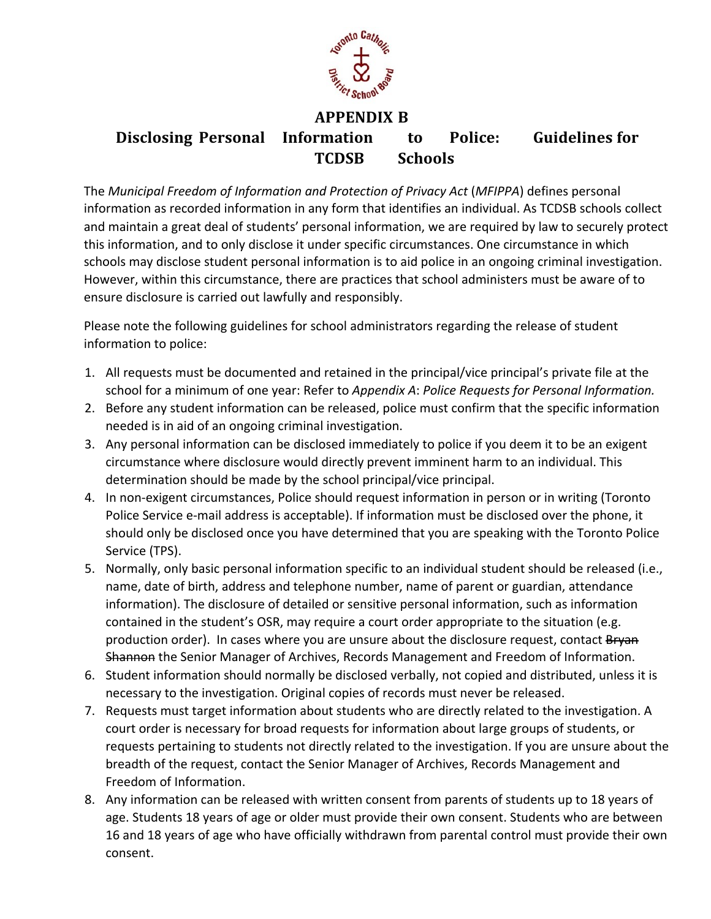

## **APPENDIX B**

## **Disclosing Personal Information to Police: Guidelines for TCDSB Schools**

 The *Municipal Freedom of Information and Protection of Privacy Act* (*MFIPPA*) defines personal information as recorded information in any form that identifies an individual. As TCDSB schools collect and maintain a great deal of students' personal information, we are required by law to securely protect this information, and to only disclose it under specific circumstances. One circumstance in which schools may disclose student personal information is to aid police in an ongoing criminal investigation. However, within this circumstance, there are practices that school administers must be aware of to ensure disclosure is carried out lawfully and responsibly.

 Please note the following guidelines for school administrators regarding the release of student information to police:

- 1. All requests must be documented and retained in the principal/vice principal's private file at the school for a minimum of one year: Refer to *Appendix A*: *Police Requests for Personal Information.*
- 2. Before any student information can be released, police must confirm that the specific information needed is in aid of an ongoing criminal investigation.
- 3. Any personal information can be disclosed immediately to police if you deem it to be an exigent circumstance where disclosure would directly prevent imminent harm to an individual. This determination should be made by the school principal/vice principal.
- 4. In non-exigent circumstances, Police should request information in person or in writing (Toronto Police Service e-mail address is acceptable). If information must be disclosed over the phone, it should only be disclosed once you have determined that you are speaking with the Toronto Police Service (TPS).
- 5. Normally, only basic personal information specific to an individual student should be released (i.e., name, date of birth, address and telephone number, name of parent or guardian, attendance information). The disclosure of detailed or sensitive personal information, such as information contained in the student's OSR, may require a court order appropriate to the situation (e.g. production order). In cases where you are unsure about the disclosure request, contact Bryan Shannon the Senior Manager of Archives, Records Management and Freedom of Information.
- 6. Student information should normally be disclosed verbally, not copied and distributed, unless it is necessary to the investigation. Original copies of records must never be released.
- 7. Requests must target information about students who are directly related to the investigation. A court order is necessary for broad requests for information about large groups of students, or requests pertaining to students not directly related to the investigation. If you are unsure about the breadth of the request, contact the Senior Manager of Archives, Records Management and Freedom of Information.
- 8. Any information can be released with written consent from parents of students up to 18 years of age. Students 18 years of age or older must provide their own consent. Students who are between 16 and 18 years of age who have officially withdrawn from parental control must provide their own consent.